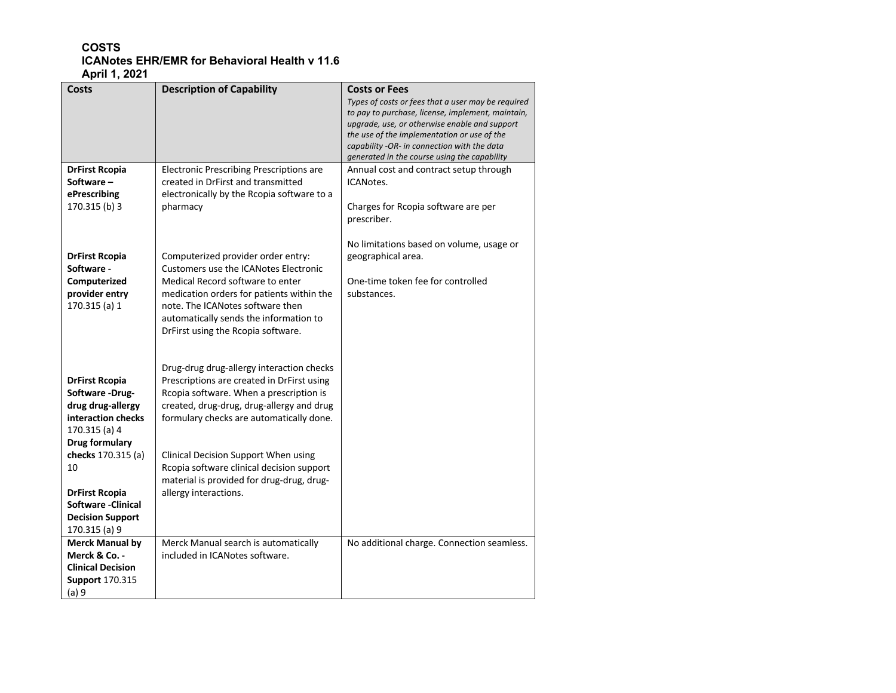## **COSTS ICANotes EHR/EMR for Behavioral Health v 11.6 April 1, 2021**

| Costs                                     | <b>Description of Capability</b>                                           | <b>Costs or Fees</b>                                                                         |
|-------------------------------------------|----------------------------------------------------------------------------|----------------------------------------------------------------------------------------------|
|                                           |                                                                            | Types of costs or fees that a user may be required                                           |
|                                           |                                                                            | to pay to purchase, license, implement, maintain,                                            |
|                                           |                                                                            | upgrade, use, or otherwise enable and support<br>the use of the implementation or use of the |
|                                           |                                                                            | capability -OR- in connection with the data                                                  |
|                                           |                                                                            | generated in the course using the capability                                                 |
| <b>DrFirst Rcopia</b>                     | <b>Electronic Prescribing Prescriptions are</b>                            | Annual cost and contract setup through                                                       |
| Software-                                 | created in DrFirst and transmitted                                         | ICANotes.                                                                                    |
| ePrescribing                              | electronically by the Rcopia software to a                                 |                                                                                              |
| 170.315 (b) 3                             | pharmacy                                                                   | Charges for Rcopia software are per                                                          |
|                                           |                                                                            | prescriber.                                                                                  |
|                                           |                                                                            |                                                                                              |
|                                           |                                                                            | No limitations based on volume, usage or                                                     |
| <b>DrFirst Rcopia</b>                     | Computerized provider order entry:                                         | geographical area.                                                                           |
| Software -                                | <b>Customers use the ICANotes Electronic</b>                               |                                                                                              |
| Computerized                              | Medical Record software to enter                                           | One-time token fee for controlled                                                            |
| provider entry                            | medication orders for patients within the                                  | substances.                                                                                  |
| 170.315 (a) 1                             | note. The ICANotes software then<br>automatically sends the information to |                                                                                              |
|                                           | DrFirst using the Rcopia software.                                         |                                                                                              |
|                                           |                                                                            |                                                                                              |
|                                           |                                                                            |                                                                                              |
|                                           | Drug-drug drug-allergy interaction checks                                  |                                                                                              |
| <b>DrFirst Rcopia</b>                     | Prescriptions are created in DrFirst using                                 |                                                                                              |
| Software-Drug-                            | Rcopia software. When a prescription is                                    |                                                                                              |
| drug drug-allergy                         | created, drug-drug, drug-allergy and drug                                  |                                                                                              |
| interaction checks                        | formulary checks are automatically done.                                   |                                                                                              |
| 170.315 (a) 4                             |                                                                            |                                                                                              |
| Drug formulary                            |                                                                            |                                                                                              |
| checks 170.315 (a)                        | Clinical Decision Support When using                                       |                                                                                              |
| 10                                        | Rcopia software clinical decision support                                  |                                                                                              |
|                                           | material is provided for drug-drug, drug-                                  |                                                                                              |
| <b>DrFirst Rcopia</b>                     | allergy interactions.                                                      |                                                                                              |
| <b>Software -Clinical</b>                 |                                                                            |                                                                                              |
| <b>Decision Support</b>                   |                                                                            |                                                                                              |
| 170.315 (a) 9                             |                                                                            |                                                                                              |
| <b>Merck Manual by</b>                    | Merck Manual search is automatically                                       | No additional charge. Connection seamless.                                                   |
| Merck & Co. -<br><b>Clinical Decision</b> | included in ICANotes software.                                             |                                                                                              |
| <b>Support 170.315</b>                    |                                                                            |                                                                                              |
| (a) 9                                     |                                                                            |                                                                                              |
|                                           |                                                                            |                                                                                              |